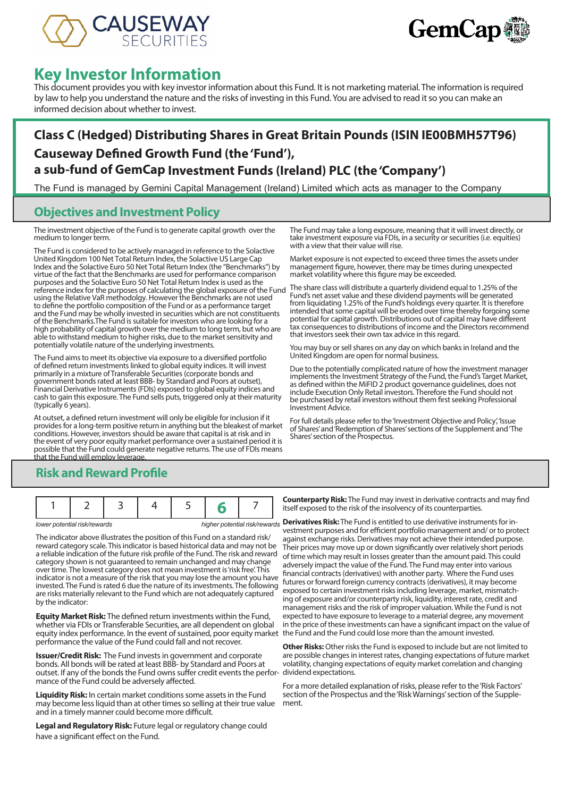



# **Key Investor Information**

This document provides you with key investor information about this Fund. It is not marketing material. The information is required by law to help you understand the nature and the risks of investing in this Fund. You are advised to read it so you can make an informed decision about whether to invest.

## **Class C (Hedged) Distributing Shares in Great Britain Pounds (ISIN IE00BMH57T96) Causeway Defined Growth Fund (the 'Fund'), a sub-fund of GemCap Investment Funds (Ireland) PLC (the 'Company')**

The Fund is managed by Gemini Capital Management (Ireland) Limited which acts as manager to the Company

### **Objectives and Investment Policy**

The investment objective of the Fund is to generate capital growth over the medium to longer term.

The Fund is considered to be actively managed in reference to the Solactive United Kingdom 100 Net Total Return Index, the Solactive US Large Cap Index and the Solactive Euro 50 Net Total Return Index (the "Benchmarks") by virtue of the fact that the Benchmarks are used for performance comparison purposes and the Solactive Euro 50 Net Total Return Index is used as the reference index for the purposes of calculating the global exposure of the Fund using the Relative VaR methodolgy. However the Benchmarks are not used to define the portfolio composition of the Fund or as a performance target and the Fund may be wholly invested in securities which are not constituents of the Benchmarks.The Fund is suitable for investors who are looking for a high probability of capital growth over the medium to long term, but who are able to withstand medium to higher risks, due to the market sensitivity and potentially volatile nature of the underlying investments.

The Fund aims to meet its objective via exposure to a diversified portfolio of defined return investments linked to global equity indices. It will invest primarily in a mixture of Transferable Securities (corporate bonds and government bonds rated at least BBB- by Standard and Poors at outset), Financial Derivative Instruments (FDIs) exposed to global equity indices and cash to gain this exposure. The Fund sells puts, triggered only at their maturity (typically 6 years).

At outset, a defined return investment will only be eligible for inclusion if it provides for a long-term positive return in anything but the bleakest of market conditions. However, investors should be aware that capital is at risk and in the event of very poor equity market performance over a sustained period it is possible that the Fund could generate negative returns. The use of FDIs means that the Fund will employ leverage.

The Fund may take a long exposure, meaning that it will invest directly, or take investment exposure via FDIs, in a security or securities (i.e. equities) with a view that their value will rise.

Market exposure is not expected to exceed three times the assets under management figure, however, there may be times during unexpected market volatility where this figure may be exceeded.

The share class will distribute a quarterly dividend equal to 1.25% of the Fund's net asset value and these dividend payments will be generated from liquidating 1.25% of the Fund's holdings every quarter. It is therefore intended that some capital will be eroded over time thereby forgoing some potential for capital growth. Distributions out of capital may have different tax consequences to distributions of income and the Directors recommend that investors seek their own tax advice in this regard.

You may buy or sell shares on any day on which banks in Ireland and the United Kingdom are open for normal business.

Due to the potentially complicated nature of how the investment manager implements the Investment Strategy of the Fund, the Fund's Target Market, as defined within the MiFID 2 product governance guidelines, does not include Execution Only Retail investors. Therefore the Fund should not be purchased by retail investors without them first seeking Professional Investment Advice.

For full details please refer to the 'Investment Objective and Policy', 'Issue of Shares' and 'Redemption of Shares' sections of the Supplement and 'The Shares' section of the Prospectus.

### **Risk and Reward Profile**

The indicator above illustrates the position of this Fund on a standard risk/ reward category scale. This indicator is based historical data and may not be a reliable indication of the future risk profile of the Fund. The risk and reward category shown is not guaranteed to remain unchanged and may change over time. The lowest category does not mean investment is 'risk free'. This indicator is not a measure of the risk that you may lose the amount you have invested. The Fund is rated 6 due the nature of its investments. The following are risks materially relevant to the Fund which are not adequately captured by the indicator:

**Equity Market Risk:** The defined return investments within the Fund, whether via FDIs or Transferable Securities, are all dependent on global equity index performance. In the event of sustained, poor equity market the Fund and the Fund could lose more than the amount invested. performance the value of the Fund could fall and not recover.

**Issuer/Credit Risk:** The Fund invests in government and corporate bonds. All bonds will be rated at least BBB- by Standard and Poors at outset. If any of the bonds the Fund owns suffer credit events the perfor-dividend expectations. mance of the Fund could be adversely affected.

**Liquidity Risk:** In certain market conditions some assets in the Fund may become less liquid than at other times so selling at their true value and in a timely manner could become more difficult.

**Legal and Regulatory Risk:** Future legal or regulatory change could have a significant effect on the Fund.

**Counterparty Risk:** The Fund may invest in derivative contracts and may find itself exposed to the risk of the insolvency of its counterparties.

*lower potential risk/rewards* **higher potential risk/rewards Derivatives Risk:** The Fund is entitled to use derivative instruments for investment purposes and for efficient portfolio management and/ or to protect against exchange risks. Derivatives may not achieve their intended purpose. Their prices may move up or down significantly over relatively short periods of time which may result in losses greater than the amount paid. This could adversely impact the value of the Fund. The Fund may enter into various financial contracts (derivatives) with another party. Where the Fund uses futures or forward foreign currency contracts (derivatives), it may become exposed to certain investment risks including leverage, market, mismatching of exposure and/or counterparty risk, liquidity, interest rate, credit and management risks and the risk of improper valuation. While the Fund is not expected to have exposure to leverage to a material degree, any movement in the price of these investments can have a significant impact on the value of

> **Other Risks:** Other risks the Fund is exposed to include but are not limited to are possible changes in interest rates, changing expectations of future market volatility, changing expectations of equity market correlation and changing

For a more detailed explanation of risks, please refer to the 'Risk Factors' section of the Prospectus and the 'Risk Warnings' section of the Supplement.